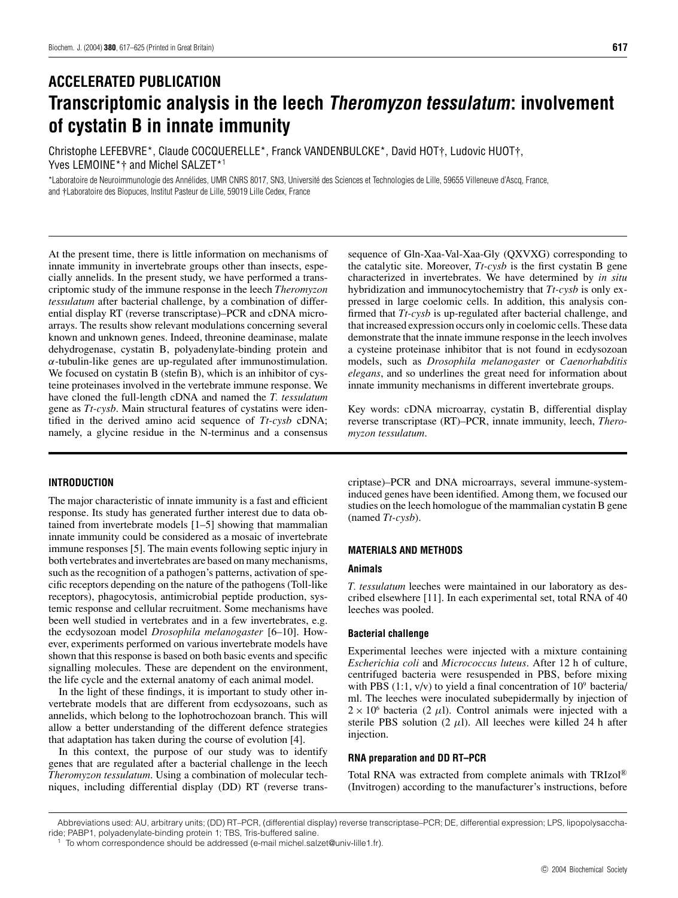# **ACCELERATED PUBLICATION Transcriptomic analysis in the leech Theromyzon tessulatum: involvement of cystatin B in innate immunity**

Christophe LEFEBVRE\*, Claude COCQUERELLE\*, Franck VANDENBULCKE\*, David HOT†, Ludovic HUOT†, Yves LEMOINE<sup>\*</sup>† and Michel SALZET<sup>\*1</sup>

\*Laboratoire de Neuroimmunologie des Annélides, UMR CNRS 8017, SN3, Université des Sciences et Technologies de Lille, 59655 Villeneuve d'Ascq, France, and †Laboratoire des Biopuces, Institut Pasteur de Lille, 59019 Lille Cedex, France

At the present time, there is little information on mechanisms of innate immunity in invertebrate groups other than insects, especially annelids. In the present study, we have performed a transcriptomic study of the immune response in the leech *Theromyzon tessulatum* after bacterial challenge, by a combination of differential display RT (reverse transcriptase)–PCR and cDNA microarrays. The results show relevant modulations concerning several known and unknown genes. Indeed, threonine deaminase, malate dehydrogenase, cystatin B, polyadenylate-binding protein and *α*-tubulin-like genes are up-regulated after immunostimulation. We focused on cystatin B (stefin B), which is an inhibitor of cysteine proteinases involved in the vertebrate immune response. We have cloned the full-length cDNA and named the *T. tessulatum* gene as *Tt-cysb*. Main structural features of cystatins were identified in the derived amino acid sequence of *Tt-cysb* cDNA; namely, a glycine residue in the N-terminus and a consensus

## **INTRODUCTION**

The major characteristic of innate immunity is a fast and efficient response. Its study has generated further interest due to data obtained from invertebrate models [1–5] showing that mammalian innate immunity could be considered as a mosaic of invertebrate immune responses [5]. The main events following septic injury in both vertebrates and invertebrates are based on many mechanisms, such as the recognition of a pathogen's patterns, activation of specific receptors depending on the nature of the pathogens (Toll-like receptors), phagocytosis, antimicrobial peptide production, systemic response and cellular recruitment. Some mechanisms have been well studied in vertebrates and in a few invertebrates, e.g. the ecdysozoan model *Drosophila melanogaster* [6–10]. However, experiments performed on various invertebrate models have shown that this response is based on both basic events and specific signalling molecules. These are dependent on the environment, the life cycle and the external anatomy of each animal model.

In the light of these findings, it is important to study other invertebrate models that are different from ecdysozoans, such as annelids, which belong to the lophotrochozoan branch. This will allow a better understanding of the different defence strategies that adaptation has taken during the course of evolution [4].

In this context, the purpose of our study was to identify genes that are regulated after a bacterial challenge in the leech *Theromyzon tessulatum*. Using a combination of molecular techniques, including differential display (DD) RT (reverse transsequence of Gln-Xaa-Val-Xaa-Gly (QXVXG) corresponding to the catalytic site. Moreover, *Tt-cysb* is the first cystatin B gene characterized in invertebrates. We have determined by *in situ* hybridization and immunocytochemistry that *Tt-cysb* is only expressed in large coelomic cells. In addition, this analysis confirmed that *Tt-cysb* is up-regulated after bacterial challenge, and that increased expression occurs only in coelomic cells. These data demonstrate that the innate immune response in the leech involves a cysteine proteinase inhibitor that is not found in ecdysozoan models, such as *Drosophila melanogaster* or *Caenorhabditis elegans*, and so underlines the great need for information about innate immunity mechanisms in different invertebrate groups.

Key words: cDNA microarray, cystatin B, differential display reverse transcriptase (RT)–PCR, innate immunity, leech, *Theromyzon tessulatum*.

criptase)–PCR and DNA microarrays, several immune-systeminduced genes have been identified. Among them, we focused our studies on the leech homologue of the mammalian cystatin B gene (named *Tt-cysb*).

## **MATERIALS AND METHODS**

## **Animals**

*T. tessulatum* leeches were maintained in our laboratory as described elsewhere [11]. In each experimental set, total RNA of 40 leeches was pooled.

## **Bacterial challenge**

Experimental leeches were injected with a mixture containing *Escherichia coli* and *Micrococcus luteus*. After 12 h of culture, centrifuged bacteria were resuspended in PBS, before mixing with PBS  $(1:1, v/v)$  to yield a final concentration of  $10^9$  bacteria/ ml. The leeches were inoculated subepidermally by injection of  $2 \times 10^6$  bacteria (2  $\mu$ l). Control animals were injected with a sterile PBS solution  $(2 \mu l)$ . All leeches were killed 24 h after injection.

## **RNA preparation and DD RT–PCR**

Total RNA was extracted from complete animals with TRIzol® (Invitrogen) according to the manufacturer's instructions, before

Abbreviations used: AU, arbitrary units; (DD) RT–PCR, (differential display) reverse transcriptase–PCR; DE, differential expression; LPS, lipopolysaccharide; PABP1, polyadenylate-binding protein 1; TBS, Tris-buffered saline.

<sup>1</sup> To whom correspondence should be addressed (e-mail michel.salzet@univ-lille1.fr).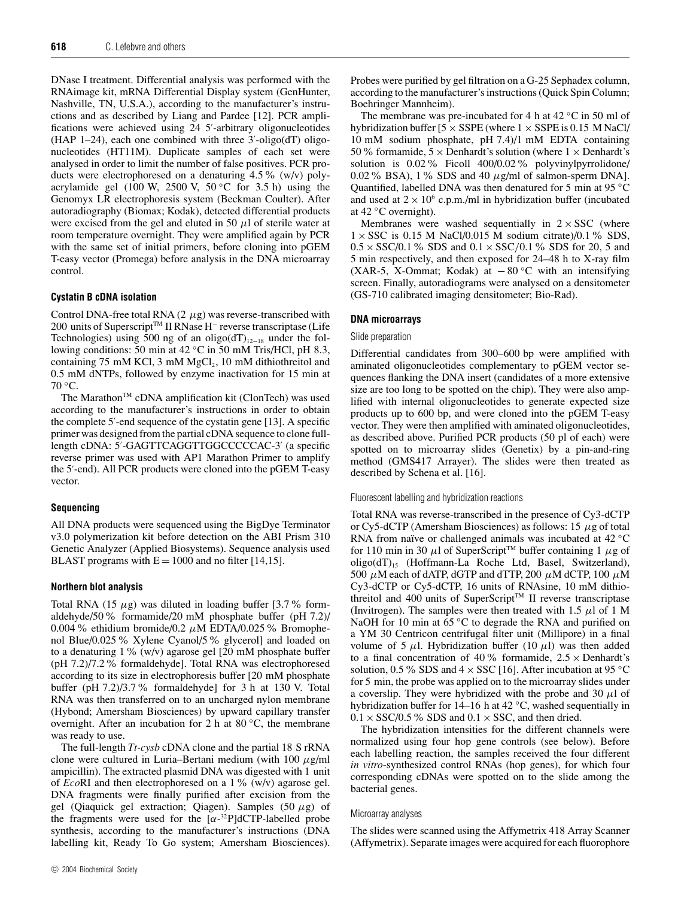DNase I treatment. Differential analysis was performed with the RNAimage kit, mRNA Differential Display system (GenHunter, Nashville, TN, U.S.A.), according to the manufacturer's instructions and as described by Liang and Pardee [12]. PCR amplifications were achieved using 24 5'-arbitrary oligonucleotides  $(HAP 1-24)$ , each one combined with three  $3'-oligo(dT)$  oligonucleotides (HT11M). Duplicate samples of each set were analysed in order to limit the number of false positives. PCR products were electrophoresed on a denaturing 4.5% (w/v) polyacrylamide gel (100 W, 2500 V, 50 *◦*C for 3.5 h) using the Genomyx LR electrophoresis system (Beckman Coulter). After autoradiography (Biomax; Kodak), detected differential products were excised from the gel and eluted in 50  $\mu$ l of sterile water at room temperature overnight. They were amplified again by PCR with the same set of initial primers, before cloning into pGEM T-easy vector (Promega) before analysis in the DNA microarray control.

## **Cystatin B cDNA isolation**

Control DNA-free total RNA  $(2 \mu g)$  was reverse-transcribed with 200 units of Superscript<sup>™</sup> II RNase H<sup>-</sup> reverse transcriptase (Life Technologies) using 500 ng of an oligo(dT)<sub>12−18</sub> under the following conditions: 50 min at 42 *◦*C in 50 mM Tris/HCl, pH 8.3, containing 75 mM KCl, 3 mM  $MgCl<sub>2</sub>$ , 10 mM dithiothreitol and 0.5 mM dNTPs, followed by enzyme inactivation for 15 min at 70 *◦*C.

The Marathon<sup>TM</sup> cDNA amplification kit (ClonTech) was used according to the manufacturer's instructions in order to obtain the complete 5'-end sequence of the cystatin gene [13]. A specific primer was designed from the partial cDNA sequence to clone fulllength cDNA: 5'-GAGTTCAGGTTGGCCCCCAC-3' (a specific reverse primer was used with AP1 Marathon Primer to amplify the 5'-end). All PCR products were cloned into the pGEM T-easy vector.

#### **Sequencing**

All DNA products were sequenced using the BigDye Terminator v3.0 polymerization kit before detection on the ABI Prism 310 Genetic Analyzer (Applied Biosystems). Sequence analysis used BLAST programs with  $E = 1000$  and no filter [14,15].

#### **Northern blot analysis**

Total RNA  $(15 \mu g)$  was diluted in loading buffer  $[3.7\%$  formaldehyde/50% formamide/20 mM phosphate buffer (pH 7.2)/ 0.004% ethidium bromide/0.2 *µ*M EDTA/0.025% Bromophenol Blue/0.025% Xylene Cyanol/5% glycerol] and loaded on to a denaturing  $1\%$  (w/v) agarose gel [20 mM phosphate buffer (pH 7.2)/7.2% formaldehyde]. Total RNA was electrophoresed according to its size in electrophoresis buffer [20 mM phosphate buffer (pH 7.2)/3.7% formaldehyde] for 3 h at 130 V. Total RNA was then transferred on to an uncharged nylon membrane (Hybond; Amersham Biosciences) by upward capillary transfer overnight. After an incubation for 2 h at 80 *◦*C, the membrane was ready to use.

The full-length *Tt-cysb* cDNA clone and the partial 18 S rRNA clone were cultured in Luria–Bertani medium (with 100 *µ*g/ml ampicillin). The extracted plasmid DNA was digested with 1 unit of *Eco*RI and then electrophoresed on a 1% (w/v) agarose gel. DNA fragments were finally purified after excision from the gel (Qiaquick gel extraction; Qiagen). Samples (50 *µ*g) of the fragments were used for the [*α*-32P]dCTP-labelled probe synthesis, according to the manufacturer's instructions (DNA labelling kit, Ready To Go system; Amersham Biosciences).

Probes were purified by gel filtration on a G-25 Sephadex column, according to the manufacturer's instructions (Quick Spin Column; Boehringer Mannheim).

The membrane was pre-incubated for 4 h at 42 *◦*C in 50 ml of hybridization buffer  $[5 \times$  SSPE (where  $1 \times$  SSPE is 0.15 M NaCl/ 10 mM sodium phosphate, pH 7.4)/1 mM EDTA containing 50% formamide,  $5 \times$  Denhardt's solution (where  $1 \times$  Denhardt's solution is 0.02% Ficoll 400/0.02% polyvinylpyrrolidone/ 0.02% BSA), 1% SDS and 40 *µ*g/ml of salmon-sperm DNA]. Quantified, labelled DNA was then denatured for 5 min at 95 *◦*C and used at  $2 \times 10^6$  c.p.m./ml in hybridization buffer (incubated at 42 *◦*C overnight).

Membranes were washed sequentially in  $2 \times SSC$  (where  $1 \times SSC$  is 0.15 M NaCl/0.015 M sodium citrate)/0.1% SDS,  $0.5 \times$  SSC/0.1 % SDS and  $0.1 \times$  SSC/0.1 % SDS for 20, 5 and 5 min respectively, and then exposed for 24–48 h to X-ray film (XAR-5, X-Ommat; Kodak) at − 80 *◦*C with an intensifying screen. Finally, autoradiograms were analysed on a densitometer (GS-710 calibrated imaging densitometer; Bio-Rad).

## **DNA microarrays**

## Slide preparation

Differential candidates from 300–600 bp were amplified with aminated oligonucleotides complementary to pGEM vector sequences flanking the DNA insert (candidates of a more extensive size are too long to be spotted on the chip). They were also amplified with internal oligonucleotides to generate expected size products up to 600 bp, and were cloned into the pGEM T-easy vector. They were then amplified with aminated oligonucleotides, as described above. Purified PCR products (50 pl of each) were spotted on to microarray slides (Genetix) by a pin-and-ring method (GMS417 Arrayer). The slides were then treated as described by Schena et al. [16].

## Fluorescent labelling and hybridization reactions

Total RNA was reverse-transcribed in the presence of Cy3-dCTP or Cy5-dCTP (Amersham Biosciences) as follows: 15 *µ*g of total RNA from naïve or challenged animals was incubated at 42 <sup></sup>°C for 110 min in 30  $\mu$ l of SuperScript<sup>TM</sup> buffer containing 1  $\mu$ g of oligo(dT)15 (Hoffmann-La Roche Ltd, Basel, Switzerland), 500  $\mu$ M each of dATP, dGTP and dTTP, 200  $\mu$ M dCTP, 100  $\mu$ M Cy3-dCTP or Cy5-dCTP, 16 units of RNAsine, 10 mM dithiothreitol and 400 units of SuperScript<sup>TM</sup> II reverse transcriptase (Invitrogen). The samples were then treated with  $1.5 \mu$ l of 1 M NaOH for 10 min at 65 *◦*C to degrade the RNA and purified on a YM 30 Centricon centrifugal filter unit (Millipore) in a final volume of 5  $\mu$ l. Hybridization buffer (10  $\mu$ l) was then added to a final concentration of 40% formamide,  $2.5 \times$ Denhardt's solution, 0.5% SDS and 4 × SSC [16]. After incubation at 95 *◦*C for 5 min, the probe was applied on to the microarray slides under a coverslip. They were hybridized with the probe and 30 *µ*l of hybridization buffer for 14–16 h at 42 *◦*C, washed sequentially in  $0.1 \times$  SSC/0.5 % SDS and  $0.1 \times$  SSC, and then dried.

The hybridization intensities for the different channels were normalized using four hop gene controls (see below). Before each labelling reaction, the samples received the four different *in vitro*-synthesized control RNAs (hop genes), for which four corresponding cDNAs were spotted on to the slide among the bacterial genes.

### Microarray analyses

The slides were scanned using the Affymetrix 418 Array Scanner (Affymetrix). Separate images were acquired for each fluorophore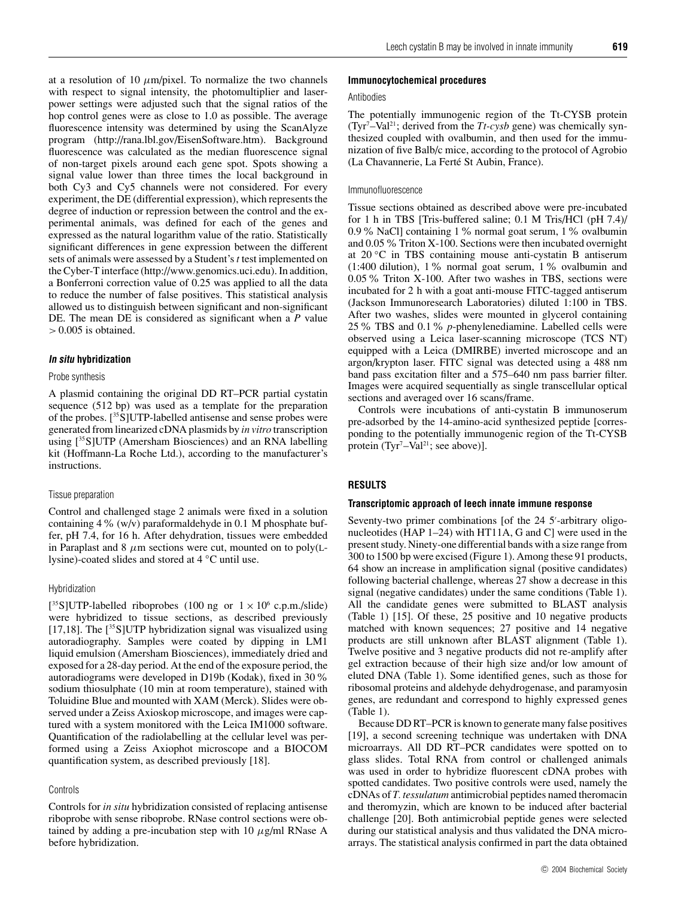at a resolution of 10  $\mu$ m/pixel. To normalize the two channels with respect to signal intensity, the photomultiplier and laserpower settings were adjusted such that the signal ratios of the hop control genes were as close to 1.0 as possible. The average fluorescence intensity was determined by using the ScanAlyze program (http://rana.lbl.gov/EisenSoftware.htm). Background fluorescence was calculated as the median fluorescence signal of non-target pixels around each gene spot. Spots showing a signal value lower than three times the local background in both Cy3 and Cy5 channels were not considered. For every experiment, the DE (differential expression), which represents the degree of induction or repression between the control and the experimental animals, was defined for each of the genes and expressed as the natural logarithm value of the ratio. Statistically significant differences in gene expression between the different sets of animals were assessed by a Student's*t* test implemented on the Cyber-T interface (http://www.genomics.uci.edu). In addition, a Bonferroni correction value of 0.25 was applied to all the data to reduce the number of false positives. This statistical analysis allowed us to distinguish between significant and non-significant DE. The mean DE is considered as significant when a *P* value

## **In situ hybridization**

*>* 0.005 is obtained.

## Probe synthesis

A plasmid containing the original DD RT–PCR partial cystatin sequence (512 bp) was used as a template for the preparation of the probes. [35S]UTP-labelled antisense and sense probes were generated from linearized cDNA plasmids by *in vitro* transcription using [35S]UTP (Amersham Biosciences) and an RNA labelling kit (Hoffmann-La Roche Ltd.), according to the manufacturer's instructions.

## Tissue preparation

Control and challenged stage 2 animals were fixed in a solution containing  $4\%$  (w/v) paraformaldehyde in 0.1 M phosphate buffer, pH 7.4, for 16 h. After dehydration, tissues were embedded in Paraplast and  $8 \mu m$  sections were cut, mounted on to poly(Llysine)-coated slides and stored at 4 *◦*C until use.

#### Hybridization

[<sup>35</sup>S]UTP-labelled riboprobes (100 ng or  $1 \times 10^6$  c.p.m./slide) were hybridized to tissue sections, as described previously [17,18]. The  $[^{35}S]$ UTP hybridization signal was visualized using autoradiography. Samples were coated by dipping in LM1 liquid emulsion (Amersham Biosciences), immediately dried and exposed for a 28-day period. At the end of the exposure period, the autoradiograms were developed in D19b (Kodak), fixed in 30% sodium thiosulphate (10 min at room temperature), stained with Toluidine Blue and mounted with XAM (Merck). Slides were observed under a Zeiss Axioskop microscope, and images were captured with a system monitored with the Leica IM1000 software. Quantification of the radiolabelling at the cellular level was performed using a Zeiss Axiophot microscope and a BIOCOM quantification system, as described previously [18].

#### Controls

Controls for *in situ* hybridization consisted of replacing antisense riboprobe with sense riboprobe. RNase control sections were obtained by adding a pre-incubation step with 10  $\mu$ g/ml RNase A before hybridization.

#### Antibodies

The potentially immunogenic region of the Tt-CYSB protein  $(Tyr<sup>7</sup> – Val<sup>21</sup>; derived from the *Tt*-*cysb* gene) was chemically syn$ thesized coupled with ovalbumin, and then used for the immunization of five Balb/c mice, according to the protocol of Agrobio (La Chavannerie, La Ferté St Aubin, France).

#### Immunofluorescence

Tissue sections obtained as described above were pre-incubated for 1 h in TBS [Tris-buffered saline; 0.1 M Tris/HCl (pH 7.4)/ 0.9% NaCl] containing 1% normal goat serum, 1% ovalbumin and 0.05% Triton X-100. Sections were then incubated overnight at 20 *◦*C in TBS containing mouse anti-cystatin B antiserum (1:400 dilution), 1% normal goat serum, 1% ovalbumin and 0.05% Triton X-100. After two washes in TBS, sections were incubated for 2 h with a goat anti-mouse FITC-tagged antiserum (Jackson Immunoresearch Laboratories) diluted 1:100 in TBS. After two washes, slides were mounted in glycerol containing 25% TBS and 0.1% *p*-phenylenediamine. Labelled cells were observed using a Leica laser-scanning microscope (TCS NT) equipped with a Leica (DMIRBE) inverted microscope and an argon/krypton laser. FITC signal was detected using a 488 nm band pass excitation filter and a 575–640 nm pass barrier filter. Images were acquired sequentially as single transcellular optical sections and averaged over 16 scans/frame.

Controls were incubations of anti-cystatin B immunoserum pre-adsorbed by the 14-amino-acid synthesized peptide [corresponding to the potentially immunogenic region of the Tt-CYSB protein (Tyr<sup>7</sup>-Val<sup>21</sup>; see above)].

## **RESULTS**

### **Transcriptomic approach of leech innate immune response**

Seventy-two primer combinations [of the 24 5'-arbitrary oligonucleotides (HAP 1–24) with HT11A, G and C] were used in the present study. Ninety-one differential bands with a size range from 300 to 1500 bp were excised (Figure 1). Among these 91 products, 64 show an increase in amplification signal (positive candidates) following bacterial challenge, whereas 27 show a decrease in this signal (negative candidates) under the same conditions (Table 1). All the candidate genes were submitted to BLAST analysis (Table 1) [15]. Of these, 25 positive and 10 negative products matched with known sequences; 27 positive and 14 negative products are still unknown after BLAST alignment (Table 1). Twelve positive and 3 negative products did not re-amplify after gel extraction because of their high size and/or low amount of eluted DNA (Table 1). Some identified genes, such as those for ribosomal proteins and aldehyde dehydrogenase, and paramyosin genes, are redundant and correspond to highly expressed genes (Table 1).

Because DD RT–PCR is known to generate many false positives [19], a second screening technique was undertaken with DNA microarrays. All DD RT–PCR candidates were spotted on to glass slides. Total RNA from control or challenged animals was used in order to hybridize fluorescent cDNA probes with spotted candidates. Two positive controls were used, namely the cDNAs of *T. tessulatum* antimicrobial peptides named theromacin and theromyzin, which are known to be induced after bacterial challenge [20]. Both antimicrobial peptide genes were selected during our statistical analysis and thus validated the DNA microarrays. The statistical analysis confirmed in part the data obtained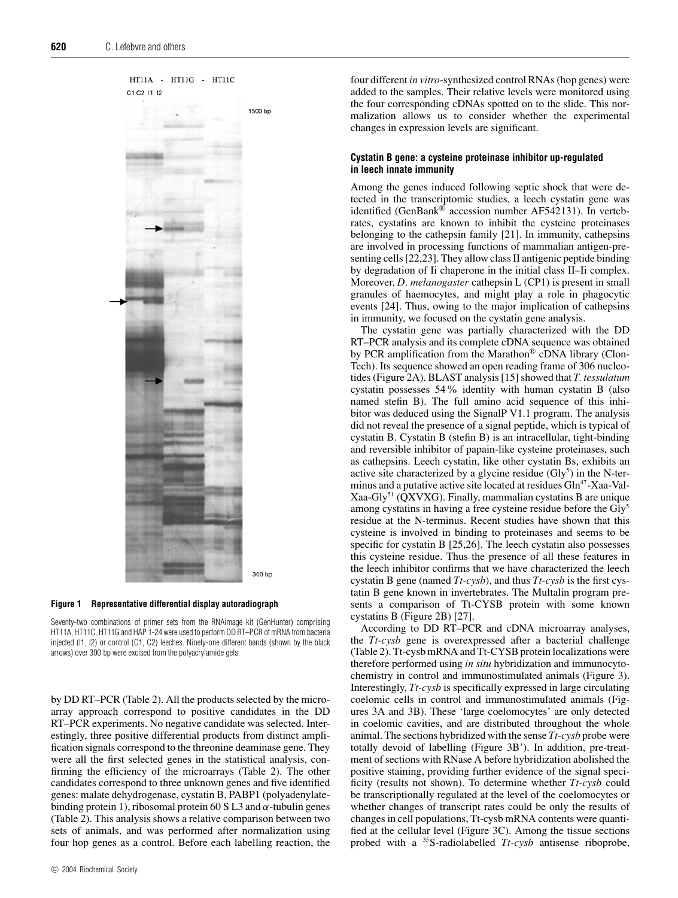



Seventy-two combinations of primer sets from the RNAimage kit (GenHunter) comprising HT11A, HT11C, HT11G and HAP 1-24 were used to perform DD RT–PCR of mRNA from bacteria injected (I1, I2) or control (C1, C2) leeches. Ninety-one different bands (shown by the black arrows) over 300 bp were excised from the polyacrylamide gels.

by DD RT–PCR (Table 2). All the products selected by the microarray approach correspond to positive candidates in the DD RT–PCR experiments. No negative candidate was selected. Interestingly, three positive differential products from distinct amplification signals correspond to the threonine deaminase gene. They were all the first selected genes in the statistical analysis, confirming the efficiency of the microarrays (Table 2). The other candidates correspond to three unknown genes and five identified genes: malate dehydrogenase, cystatin B, PABP1 (polyadenylatebinding protein 1), ribosomal protein 60 S L3 and *α*-tubulin genes (Table 2). This analysis shows a relative comparison between two sets of animals, and was performed after normalization using four hop genes as a control. Before each labelling reaction, the four different *in vitro*-synthesized control RNAs (hop genes) were added to the samples. Their relative levels were monitored using the four corresponding cDNAs spotted on to the slide. This normalization allows us to consider whether the experimental changes in expression levels are significant.

## **Cystatin B gene: a cysteine proteinase inhibitor up-regulated in leech innate immunity**

Among the genes induced following septic shock that were detected in the transcriptomic studies, a leech cystatin gene was identified (GenBank® accession number AF542131). In vertebrates, cystatins are known to inhibit the cysteine proteinases belonging to the cathepsin family [21]. In immunity, cathepsins are involved in processing functions of mammalian antigen-presenting cells [22,23]. They allow class II antigenic peptide binding by degradation of Ii chaperone in the initial class II–Ii complex. Moreover, *D. melanogaster* cathepsin L (CP1) is present in small granules of haemocytes, and might play a role in phagocytic events [24]. Thus, owing to the major implication of cathepsins in immunity, we focused on the cystatin gene analysis.

The cystatin gene was partially characterized with the DD RT–PCR analysis and its complete cDNA sequence was obtained by PCR amplification from the Marathon® cDNA library (Clon-Tech). Its sequence showed an open reading frame of 306 nucleotides (Figure 2A). BLAST analysis [15] showed that *T. tessulatum* cystatin possesses 54% identity with human cystatin B (also named stefin B). The full amino acid sequence of this inhibitor was deduced using the SignalP V1.1 program. The analysis did not reveal the presence of a signal peptide, which is typical of cystatin B. Cystatin B (stefin B) is an intracellular, tight-binding and reversible inhibitor of papain-like cysteine proteinases, such as cathepsins. Leech cystatin, like other cystatin Bs, exhibits an active site characterized by a glycine residue  $(Gly^5)$  in the N-terminus and a putative active site located at residues Gln<sup>47</sup>-Xaa-Val- $Xaa-Gly<sup>51</sup> (QXVXG)$ . Finally, mammalian cystatins B are unique among cystatins in having a free cysteine residue before the Gly5 residue at the N-terminus. Recent studies have shown that this cysteine is involved in binding to proteinases and seems to be specific for cystatin B [25,26]. The leech cystatin also possesses this cysteine residue. Thus the presence of all these features in the leech inhibitor confirms that we have characterized the leech cystatin B gene (named *Tt-cysb*), and thus *Tt-cysb* is the first cystatin B gene known in invertebrates. The Multalin program presents a comparison of Tt-CYSB protein with some known cystatins B (Figure 2B) [27].

According to DD RT–PCR and cDNA microarray analyses, the *Tt-cysb* gene is overexpressed after a bacterial challenge (Table 2). Tt-cysb mRNA and Tt-CYSB protein localizations were therefore performed using *in situ* hybridization and immunocytochemistry in control and immunostimulated animals (Figure 3). Interestingly, *Tt-cysb* is specifically expressed in large circulating coelomic cells in control and immunostimulated animals (Figures 3A and 3B). These 'large coelomocytes' are only detected in coelomic cavities, and are distributed throughout the whole animal. The sections hybridized with the sense *Tt-cysb* probe were totally devoid of labelling (Figure 3B'). In addition, pre-treatment of sections with RNase A before hybridization abolished the positive staining, providing further evidence of the signal specificity (results not shown). To determine whether *Tt-cysb* could be transcriptionally regulated at the level of the coelomocytes or whether changes of transcript rates could be only the results of changes in cell populations, Tt-cysb mRNA contents were quantified at the cellular level (Figure 3C). Among the tissue sections probed with a 35S-radiolabelled *Tt-cysb* antisense riboprobe,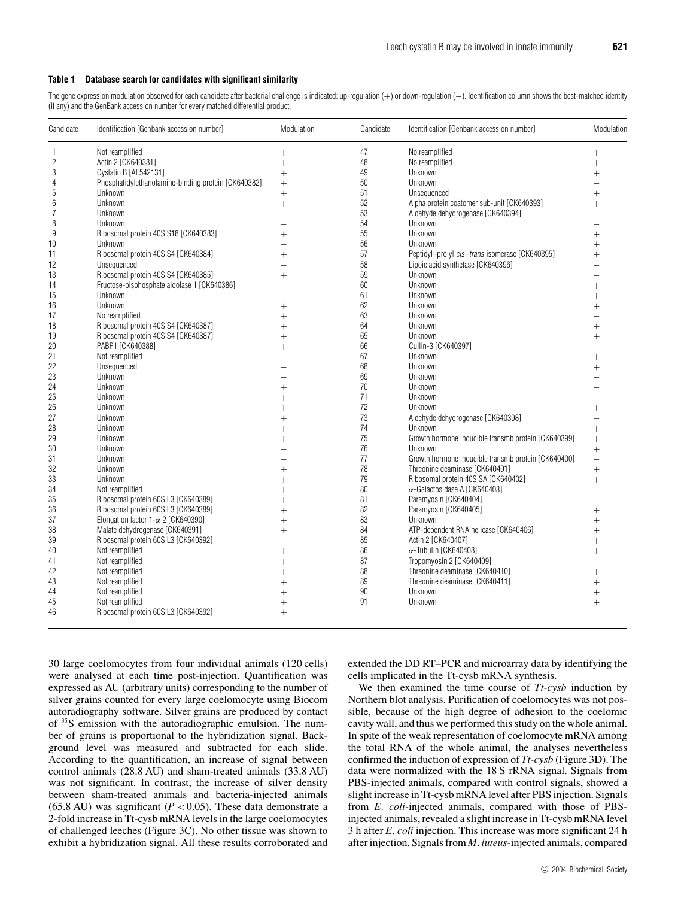## **Table 1 Database search for candidates with significant similarity**

The gene expression modulation observed for each candidate after bacterial challenge is indicated: up-regulation (+) or down-regulation (-). Identification column shows the best-matched identity (if any) and the GenBank accession number for every matched differential product.

| Candidate       | Identification [Genbank accession number]           | Modulation | Candidate | Identification [Genbank accession number]           | Modulation |
|-----------------|-----------------------------------------------------|------------|-----------|-----------------------------------------------------|------------|
| $\mathbf{1}$    | Not reamplified                                     | $^{+}$     | 47        | No reamplified                                      | $+$        |
| $\overline{c}$  | Actin 2 [CK640381]                                  | $^{+}$     | 48        | No reamplified                                      | $^{+}$     |
| 3               | Cystatin B [AF542131]                               | $^{+}$     | 49        | Unknown                                             | $^{+}$     |
| $\overline{4}$  | Phosphatidylethanolamine-binding protein [CK640382] | $^{+}$     | 50        | Unknown                                             |            |
| 5               | Unknown                                             | $^{+}$     | 51        | Unsequenced                                         | $^{+}$     |
| $6\phantom{.}6$ | Unknown                                             | $^{+}$     | 52        | Alpha protein coatomer sub-unit [CK640393]          | $^{+}$     |
| $\overline{7}$  | Unknown                                             |            | 53        | Aldehyde dehydrogenase [CK640394]                   |            |
| 8               | Unknown                                             |            | 54        | Unknown                                             |            |
| 9               | Ribosomal protein 40S S18 [CK640383]                | $^{+}$     | 55        | Unknown                                             | $^{+}$     |
| 10              | Unknown                                             |            | 56        | Unknown                                             | $^{+}$     |
| 11              | Ribosomal protein 40S S4 [CK640384]                 | $^{+}$     | 57        | Peptidyl-prolyl cis-trans isomerase [CK640395]      | $^{+}$     |
| 12              | Unsequenced                                         |            | 58        | Lipoic acid synthetase [CK640396]                   |            |
| 13              | Ribosomal protein 40S S4 [CK640385]                 | $^{+}$     | 59        | Unknown                                             |            |
| 14              | Fructose-bisphosphate aldolase 1 [CK640386]         |            | 60        | Unknown                                             | $^{+}$     |
| 15              | Unknown                                             |            | 61        | Unknown                                             | $^{+}$     |
| 16              | Unknown                                             |            | 62        | Unknown                                             | $^{+}$     |
| 17              | No reamplified                                      |            | 63        | Unknown                                             |            |
| 18              | Ribosomal protein 40S S4 [CK640387]                 |            | 64        | Unknown                                             |            |
| 19              | Ribosomal protein 40S S4 [CK640387]                 |            | 65        | Unknown                                             |            |
| 20              | PABP1 [CK640388]                                    |            | 66        | Cullin-3 [CK640397]                                 |            |
| 21              | Not reamplified                                     |            | 67        | Unknown                                             | $^{+}$     |
| 22              | Unsequenced                                         |            | 68        | Unknown                                             | $^{+}$     |
| 23              | Unknown                                             |            | 69        | Unknown                                             |            |
| 24              | Unknown                                             |            | 70        | Unknown                                             |            |
| 25              | Unknown                                             | $^{+}$     | 71        | Unknown                                             |            |
| 26              | Unknown                                             |            | 72        | Unknown                                             | $\ddot{}$  |
| 27              | Unknown                                             | $\ddot{}$  | 73        | Aldehyde dehydrogenase [CK640398]                   |            |
| 28              | Unknown                                             |            | 74        | Unknown                                             | $^{+}$     |
| 29              | Unknown                                             |            | 75        | Growth hormone inducible transmb protein [CK640399] | $^{+}$     |
| 30              | Unknown                                             |            | 76        | Unknown                                             | $^{+}$     |
| 31              | Unknown                                             |            | 77        | Growth hormone inducible transmb protein [CK640400] | $\equiv$   |
| 32              | Unknown                                             |            | 78        | Threonine deaminase [CK640401]                      | $\ddot{}$  |
| 33              | Unknown                                             |            | 79        | Ribosomal protein 40S SA [CK640402]                 | $^{+}$     |
| 34              | Not reamplified                                     | $^{+}$     | 80        | $\alpha$ -Galactosidase A [CK640403]                |            |
| 35              | Ribosomal protein 60S L3 [CK640389]                 |            | 81        | Paramyosin [CK640404]                               |            |
| 36              | Ribosomal protein 60S L3 [CK640389]                 |            | 82        | Paramyosin [CK640405]                               | $^{+}$     |
| 37              | Elongation factor $1-\alpha$ 2 [CK640390]           |            | 83        | Unknown                                             | $\ddot{}$  |
| 38              | Malate dehydrogenase [CK640391]                     | $\ddot{}$  | 84        | ATP-dependent RNA helicase [CK640406]               | $^{+}$     |
| 39              | Ribosomal protein 60S L3 [CK640392]                 |            | 85        | Actin 2 [CK640407]                                  |            |
| 40              | Not reamplified                                     | $^{+}$     | 86        | $\alpha$ -Tubulin [CK640408]                        | $^{+}$     |
| 41              | Not reamplified                                     |            | 87        | Tropomyosin 2 [CK640409]                            |            |
| 42              | Not reamplified                                     | $^{+}$     | 88        | Threonine deaminase [CK640410]                      | $^{+}$     |
| 43              | Not reamplified                                     |            | 89        | Threonine deaminase [CK640411]                      | $^{+}$     |
| 44              | Not reamplified                                     |            | 90        | Unknown                                             | $^{+}$     |
| 45              | Not reamplified                                     |            | 91        | Unknown                                             | $^{+}$     |
| 46              | Ribosomal protein 60S L3 [CK640392]                 | $^{+}$     |           |                                                     |            |
|                 |                                                     |            |           |                                                     |            |

30 large coelomocytes from four individual animals (120 cells) were analysed at each time post-injection. Quantification was expressed as AU (arbitrary units) corresponding to the number of silver grains counted for every large coelomocyte using Biocom autoradiography software. Silver grains are produced by contact of 35S emission with the autoradiographic emulsion. The number of grains is proportional to the hybridization signal. Background level was measured and subtracted for each slide. According to the quantification, an increase of signal between control animals (28.8 AU) and sham-treated animals (33.8 AU) was not significant. In contrast, the increase of silver density between sham-treated animals and bacteria-injected animals (65.8 AU) was significant ( $P < 0.05$ ). These data demonstrate a 2-fold increase in Tt-cysb mRNA levels in the large coelomocytes of challenged leeches (Figure 3C). No other tissue was shown to exhibit a hybridization signal. All these results corroborated and extended the DD RT–PCR and microarray data by identifying the cells implicated in the Tt-cysb mRNA synthesis.

We then examined the time course of *Tt-cysb* induction by Northern blot analysis. Purification of coelomocytes was not possible, because of the high degree of adhesion to the coelomic cavity wall, and thus we performed this study on the whole animal. In spite of the weak representation of coelomocyte mRNA among the total RNA of the whole animal, the analyses nevertheless confirmed the induction of expression of *Tt-cysb* (Figure 3D). The data were normalized with the 18 S rRNA signal. Signals from PBS-injected animals, compared with control signals, showed a slight increase in Tt-cysb mRNA level after PBS injection. Signals from *E. coli*-injected animals, compared with those of PBSinjected animals, revealed a slight increase in Tt-cysb mRNA level 3 h after *E. coli* injection. This increase was more significant 24 h after injection. Signals from *M. luteus*-injected animals, compared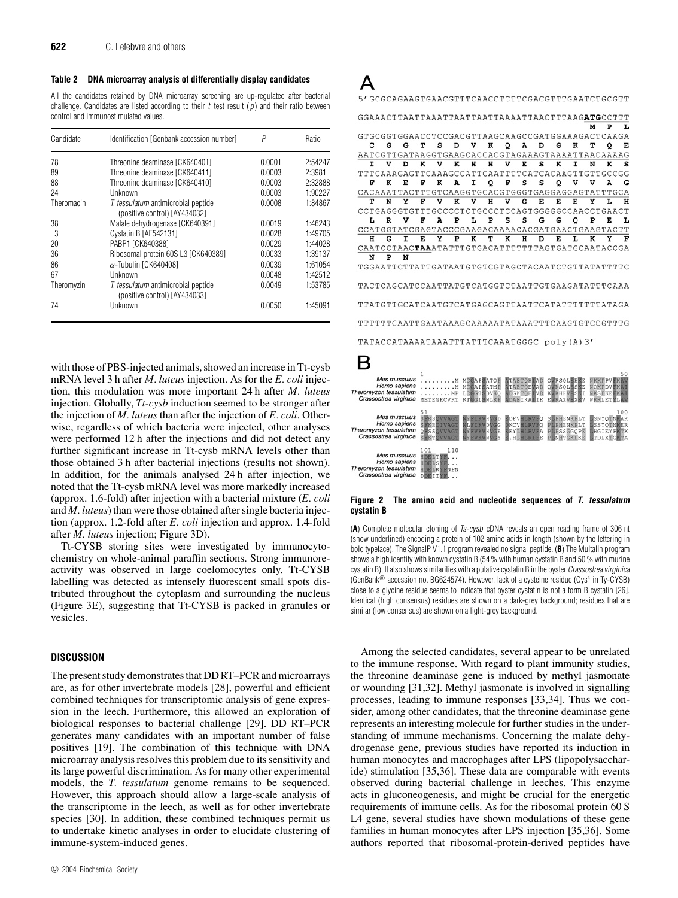#### **Table 2 DNA microarray analysis of differentially display candidates**

All the candidates retained by DNA microarray screening are up-regulated after bacterial challenge. Candidates are listed according to their  $t$  test result  $(p)$  and their ratio between control and immunostimulated values.

| Candidate  | Identification [Genbank accession number]                            | Ρ      | Ratio   |
|------------|----------------------------------------------------------------------|--------|---------|
| 78         | Threonine deaminase [CK640401]                                       | 0.0001 | 2:54247 |
| 89         | Threonine deaminase [CK640411]                                       | 0.0003 | 2:3981  |
| 88         | Threonine deaminase [CK640410]                                       | 0.0003 | 2:32888 |
| 24         | Unknown                                                              | 0.0003 | 1:90227 |
| Theromacin | T. tessulatum antimicrobial peptide<br>(positive control) [AY434032] | 0.0008 | 1:84867 |
| 38         | Malate dehydrogenase [CK640391]                                      | 0.0019 | 1:46243 |
| 3          | Cystatin B [AF542131]                                                | 0.0028 | 1:49705 |
| 20         | PABP1 [CK640388]                                                     | 0.0029 | 1:44028 |
| 36         | Ribosomal protein 60S L3 [CK640389]                                  | 0.0033 | 1:39137 |
| 86         | $\alpha$ -Tubulin [CK640408]                                         | 0.0039 | 1:61054 |
| 67         | Unknown                                                              | 0.0048 | 1:42512 |
| Theromyzin | T. tessulatum antimicrobial peptide<br>(positive control) [AY434033] | 0.0049 | 1:53785 |
| 74         | Unknown                                                              | 0.0050 | 1:45091 |

with those of PBS-injected animals, showed an increase in Tt-cysb mRNA level 3 h after *M. luteus* injection. As for the *E. coli* injection, this modulation was more important 24 h after *M. luteus* injection. Globally, *Tt-cysb* induction seemed to be stronger after the injection of *M. luteus* than after the injection of *E. coli*. Otherwise, regardless of which bacteria were injected, other analyses were performed 12 h after the injections and did not detect any further significant increase in Tt-cysb mRNA levels other than those obtained 3 h after bacterial injections (results not shown). In addition, for the animals analysed 24 h after injection, we noted that the Tt-cysb mRNA level was more markedly increased (approx. 1.6-fold) after injection with a bacterial mixture (*E. coli* and *M. luteus*) than were those obtained after single bacteria injection (approx. 1.2-fold after *E. coli* injection and approx. 1.4-fold after *M. luteus* injection; Figure 3D).

Tt*-*CYSB storing sites were investigated by immunocytochemistry on whole-animal paraffin sections. Strong immunoreactivity was observed in large coelomocytes only. Tt-CYSB labelling was detected as intensely fluorescent small spots distributed throughout the cytoplasm and surrounding the nucleus (Figure 3E), suggesting that Tt-CYSB is packed in granules or vesicles.

## **DISCUSSION**

The present study demonstrates that DD RT–PCR and microarrays are, as for other invertebrate models [28], powerful and efficient combined techniques for transcriptomic analysis of gene expression in the leech. Furthermore, this allowed an exploration of biological responses to bacterial challenge [29]. DD RT–PCR generates many candidates with an important number of false positives [19]. The combination of this technique with DNA microarray analysis resolves this problem due to its sensitivity and its large powerful discrimination. As for many other experimental models, the *T. tessulatum* genome remains to be sequenced. However, this approach should allow a large-scale analysis of the transcriptome in the leech, as well as for other invertebrate species [30]. In addition, these combined techniques permit us to undertake kinetic analyses in order to elucidate clustering of immune-system-induced genes.





#### **Figure 2 The amino acid and nucleotide sequences of T. tessulatum cystatin B**

(**A**) Complete molecular cloning of Ts-cysb cDNA reveals an open reading frame of 306 nt (show underlined) encoding a protein of 102 amino acids in length (shown by the lettering in bold typeface). The SignalP V1.1 program revealed no signal peptide. (**B**) The Multalin program shows a high identity with known cystatin B (54 % with human cystatin B and 50 % with murine cystatin B), It also shows similarities with a putative cystatin B in the oyster Crassostrea virginica (GenBank® accession no. BG624574). However, lack of a cysteine residue (Cys4 in Ty-CYSB) close to a glycine residue seems to indicate that oyster cystatin is not a form B cystatin [26]. Identical (high consensus) residues are shown on a dark-grey background; residues that are similar (low consensus) are shown on a light-grey background.

Among the selected candidates, several appear to be unrelated to the immune response. With regard to plant immunity studies, the threonine deaminase gene is induced by methyl jasmonate or wounding [31,32]. Methyl jasmonate is involved in signalling processes, leading to immune responses [33,34]. Thus we consider, among other candidates, that the threonine deaminase gene represents an interesting molecule for further studies in the understanding of immune mechanisms. Concerning the malate dehydrogenase gene, previous studies have reported its induction in human monocytes and macrophages after LPS (lipopolysaccharide) stimulation [35,36]. These data are comparable with events observed during bacterial challenge in leeches. This enzyme acts in gluconeogenesis, and might be crucial for the energetic requirements of immune cells. As for the ribosomal protein 60 S L4 gene, several studies have shown modulations of these gene families in human monocytes after LPS injection [35,36]. Some authors reported that ribosomal-protein-derived peptides have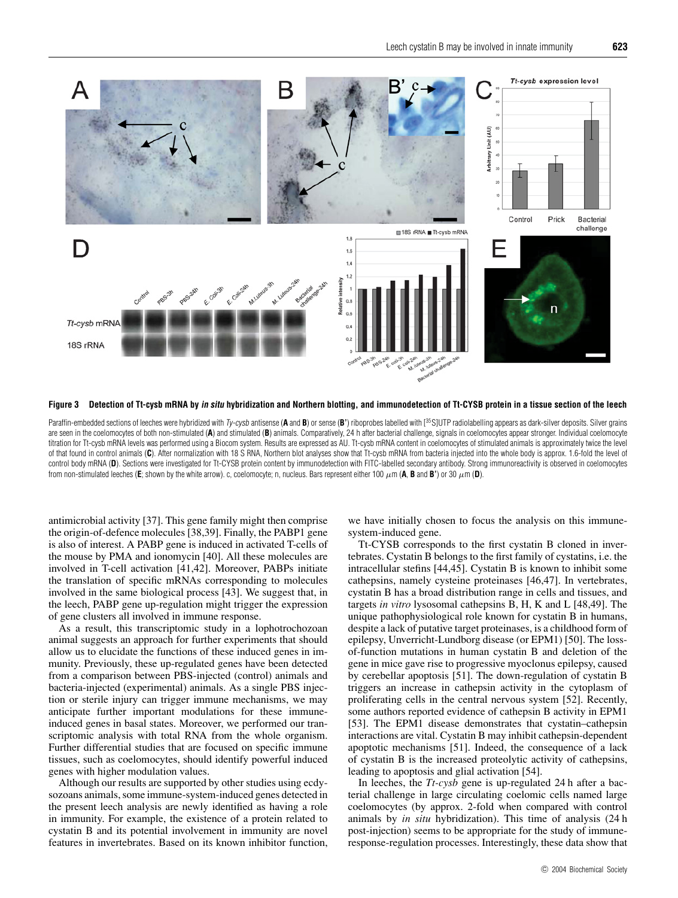

**Figure 3 Detection of Tt-cysb mRNA by in situ hybridization and Northern blotting, and immunodetection of Tt-CYSB protein in a tissue section of the leech**

Paraffin-embedded sections of leeches were hybridized with Ty-cysb antisense (**A** and **B**) or sense (**B**') riboprobes labelled with [<sup>35</sup>S]UTP radiolabelling appears as dark-silver deposits. Silver grains are seen in the coelomocytes of both non-stimulated (**A**) and stimulated (**B**) animals. Comparatively, 24 h after bacterial challenge, signals in coelomocytes appear stronger. Individual coelomocyte titration for Tt-cysb mRNA levels was performed using a Biocom system. Results are expressed as AU. Tt-cysb mRNA content in coelomocytes of stimulated animals is approximately twice the level of that found in control animals (**C**). After normalization with 18 S RNA, Northern blot analyses show that Tt-cysb mRNA from bacteria injected into the whole body is approx. 1.6-fold the level of control body mRNA (D). Sections were investigated for Tt-CYSB protein content by immunodetection with FITC-labelled secondary antibody. Strong immunoreactivity is observed in coelomocytes from non-stimulated leeches (**E**; shown by the white arrow). c, coelomocyte; n, nucleus. Bars represent either 100 µm (**A**, **B** and **B'**) or 30 µm (**D**).

antimicrobial activity [37]. This gene family might then comprise the origin-of-defence molecules [38,39]. Finally, the PABP1 gene is also of interest. A PABP gene is induced in activated T-cells of the mouse by PMA and ionomycin [40]. All these molecules are involved in T-cell activation [41,42]. Moreover, PABPs initiate the translation of specific mRNAs corresponding to molecules involved in the same biological process [43]. We suggest that, in the leech, PABP gene up-regulation might trigger the expression of gene clusters all involved in immune response.

As a result, this transcriptomic study in a lophotrochozoan animal suggests an approach for further experiments that should allow us to elucidate the functions of these induced genes in immunity. Previously, these up-regulated genes have been detected from a comparison between PBS-injected (control) animals and bacteria-injected (experimental) animals. As a single PBS injection or sterile injury can trigger immune mechanisms, we may anticipate further important modulations for these immuneinduced genes in basal states. Moreover, we performed our transcriptomic analysis with total RNA from the whole organism. Further differential studies that are focused on specific immune tissues, such as coelomocytes, should identify powerful induced genes with higher modulation values.

Although our results are supported by other studies using ecdysozoans animals, some immune-system-induced genes detected in the present leech analysis are newly identified as having a role in immunity. For example, the existence of a protein related to cystatin B and its potential involvement in immunity are novel features in invertebrates. Based on its known inhibitor function, we have initially chosen to focus the analysis on this immunesystem-induced gene.

Tt-CYSB corresponds to the first cystatin B cloned in invertebrates. Cystatin B belongs to the first family of cystatins, i.e. the intracellular stefins [44,45]. Cystatin B is known to inhibit some cathepsins, namely cysteine proteinases [46,47]. In vertebrates, cystatin B has a broad distribution range in cells and tissues, and targets *in vitro* lysosomal cathepsins B, H, K and L [48,49]. The unique pathophysiological role known for cystatin B in humans, despite a lack of putative target proteinases, is a childhood form of epilepsy, Unverricht-Lundborg disease (or EPM1) [50]. The lossof-function mutations in human cystatin B and deletion of the gene in mice gave rise to progressive myoclonus epilepsy, caused by cerebellar apoptosis [51]. The down-regulation of cystatin B triggers an increase in cathepsin activity in the cytoplasm of proliferating cells in the central nervous system [52]. Recently, some authors reported evidence of cathepsin B activity in EPM1 [53]. The EPM1 disease demonstrates that cystatin–cathepsin interactions are vital. Cystatin B may inhibit cathepsin-dependent apoptotic mechanisms [51]. Indeed, the consequence of a lack of cystatin B is the increased proteolytic activity of cathepsins, leading to apoptosis and glial activation [54].

In leeches, the *Tt-cysb* gene is up-regulated 24 h after a bacterial challenge in large circulating coelomic cells named large coelomocytes (by approx. 2-fold when compared with control animals by *in situ* hybridization). This time of analysis (24 h post-injection) seems to be appropriate for the study of immuneresponse-regulation processes. Interestingly, these data show that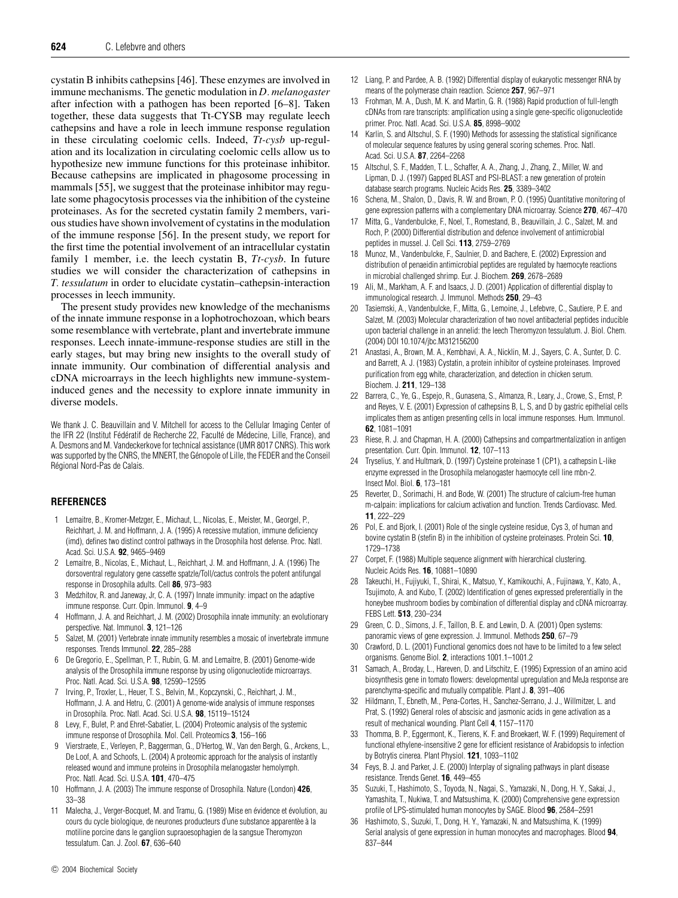cystatin B inhibits cathepsins [46]. These enzymes are involved in immune mechanisms. The genetic modulation in *D. melanogaster* after infection with a pathogen has been reported [6–8]. Taken together, these data suggests that Tt-CYSB may regulate leech cathepsins and have a role in leech immune response regulation in these circulating coelomic cells. Indeed, *Tt-cysb* up-regulation and its localization in circulating coelomic cells allow us to hypothesize new immune functions for this proteinase inhibitor. Because cathepsins are implicated in phagosome processing in mammals [55], we suggest that the proteinase inhibitor may regulate some phagocytosis processes via the inhibition of the cysteine proteinases. As for the secreted cystatin family 2 members, various studies have shown involvement of cystatins in the modulation of the immune response [56]. In the present study, we report for the first time the potential involvement of an intracellular cystatin family 1 member, i.e. the leech cystatin B, *Tt-cysb*. In future studies we will consider the characterization of cathepsins in *T. tessulatum* in order to elucidate cystatin–cathepsin-interaction processes in leech immunity.

The present study provides new knowledge of the mechanisms of the innate immune response in a lophotrochozoan, which bears some resemblance with vertebrate, plant and invertebrate immune responses. Leech innate-immune-response studies are still in the early stages, but may bring new insights to the overall study of innate immunity. Our combination of differential analysis and cDNA microarrays in the leech highlights new immune-systeminduced genes and the necessity to explore innate immunity in diverse models.

We thank J. C. Beauvillain and V. Mitchell for access to the Cellular Imaging Center of the IFR 22 (Institut Fédératif de Recherche 22, Faculté de Médecine, Lille, France), and A. Desmons and M. Vandeckerkove for technical assistance (UMR 8017 CNRS). This work was supported by the CNRS, the MNERT, the Génopole of Lille, the FEDER and the Conseil Regional Nord-Pas de Calais. ´

## **REFERENCES**

- 1 Lemaitre, B., Kromer-Metzger, E., Michaut, L., Nicolas, E., Meister, M., Georgel, P., Reichhart, J. M. and Hoffmann, J. A. (1995) A recessive mutation, immune deficiency (imd), defines two distinct control pathways in the Drosophila host defense. Proc. Natl. Acad. Sci. U.S.A. **92**, 9465–9469
- 2 Lemaitre, B., Nicolas, E., Michaut, L., Reichhart, J. M. and Hoffmann, J. A. (1996) The dorsoventral regulatory gene cassette spatzle/Toll/cactus controls the potent antifungal response in Drosophila adults. Cell **86**, 973–983
- 3 Medzhitov, R. and Janeway, Jr, C. A. (1997) Innate immunity: impact on the adaptive immune response. Curr. Opin. Immunol. **9**, 4–9
- 4 Hoffmann, J. A. and Reichhart, J. M. (2002) Drosophila innate immunity: an evolutionary perspective. Nat. Immunol. **3**, 121–126
- 5 Salzet, M. (2001) Vertebrate innate immunity resembles a mosaic of invertebrate immune responses. Trends Immunol. **22**, 285–288
- 6 De Gregorio, E., Spellman, P. T., Rubin, G. M. and Lemaitre, B. (2001) Genome-wide analysis of the Drosophila immune response by using oligonucleotide microarrays. Proc. Natl. Acad. Sci. U.S.A. **98**, 12590–12595
- 7 Irving, P., Troxler, L., Heuer, T. S., Belvin, M., Kopczynski, C., Reichhart, J. M., Hoffmann, J. A. and Hetru, C. (2001) A genome-wide analysis of immune responses in Drosophila. Proc. Natl. Acad. Sci. U.S.A. **98**, 15119–15124
- 8 Levy, F., Bulet, P. and Ehret-Sabatier, L. (2004) Proteomic analysis of the systemic immune response of Drosophila. Mol. Cell. Proteomics **3**, 156–166
- 9 Vierstraete, E., Verleyen, P., Baggerman, G., D'Hertog, W., Van den Bergh, G., Arckens, L., De Loof, A. and Schoofs, L. (2004) A proteomic approach for the analysis of instantly released wound and immune proteins in Drosophila melanogaster hemolymph. Proc. Natl. Acad. Sci. U.S.A. **101**, 470–475
- 10 Hoffmann, J. A. (2003) The immune response of Drosophila. Nature (London) **426**, 33–38
- 11 Malecha, J., Verger-Bocquet, M. and Tramu, G. (1989) Mise en évidence et évolution, au cours du cycle biologique, de neurones producteurs d'une substance apparentèe à la motiline porcine dans le ganglion supraoesophagien de la sangsue Theromyzon tessulatum. Can. J. Zool. **67**, 636–640
- 12 Liang, P. and Pardee, A. B. (1992) Differential display of eukaryotic messenger RNA by means of the polymerase chain reaction. Science **257**, 967–971
- 13 Frohman, M. A., Dush, M. K. and Martin, G. R. (1988) Rapid production of full-length cDNAs from rare transcripts: amplification using a single gene-specific oligonucleotide primer. Proc. Natl. Acad. Sci. U.S.A. **85**, 8998–9002
- 14 Karlin, S. and Altschul, S. F. (1990) Methods for assessing the statistical significance of molecular sequence features by using general scoring schemes. Proc. Natl. Acad. Sci. U.S.A. **87**, 2264–2268
- 15 Altschul, S. F., Madden, T. L., Schaffer, A. A., Zhang, J., Zhang, Z., Miller, W. and Lipman, D. J. (1997) Gapped BLAST and PSI-BLAST: a new generation of protein database search programs. Nucleic Acids Res. **25**, 3389–3402
- 16 Schena, M., Shalon, D., Davis, R. W. and Brown, P. O. (1995) Quantitative monitoring of gene expression patterns with a complementary DNA microarray. Science **270**, 467–470
- 17 Mitta, G., Vandenbulcke, F., Noel, T., Romestand, B., Beauvillain, J. C., Salzet, M. and Roch, P. (2000) Differential distribution and defence involvement of antimicrobial peptides in mussel. J. Cell Sci. **113**, 2759–2769
- 18 Munoz, M., Vandenbulcke, F., Saulnier, D. and Bachere, E. (2002) Expression and distribution of penaeidin antimicrobial peptides are regulated by haemocyte reactions in microbial challenged shrimp. Eur. J. Biochem. **269**, 2678–2689
- 19 Ali, M., Markham, A. F. and Isaacs, J. D. (2001) Application of differential display to immunological research. J. Immunol. Methods **250**, 29–43
- 20 Tasiemski, A., Vandenbulcke, F., Mitta, G., Lemoine, J., Lefebvre, C., Sautiere, P. E. and Salzet, M. (2003) Molecular characterization of two novel antibacterial peptides inducible upon bacterial challenge in an annelid: the leech Theromyzon tessulatum. J. Biol. Chem. (2004) DOI 10.1074/jbc.M312156200
- 21 Anastasi, A., Brown, M. A., Kembhavi, A. A., Nicklin, M. J., Sayers, C. A., Sunter, D. C. and Barrett, A. J. (1983) Cystatin, a protein inhibitor of cysteine proteinases. Improved purification from egg white, characterization, and detection in chicken serum. Biochem. J. **211**, 129–138
- 22 Barrera, C., Ye, G., Espejo, R., Gunasena, S., Almanza, R., Leary, J., Crowe, S., Ernst, P. and Reyes, V. E. (2001) Expression of cathepsins B, L, S, and D by gastric epithelial cells implicates them as antigen presenting cells in local immune responses. Hum. Immunol. **62**, 1081–1091
- 23 Riese, R. J. and Chapman, H. A. (2000) Cathepsins and compartmentalization in antigen presentation. Curr. Opin. Immunol. **12**, 107–113
- 24 Tryselius, Y. and Hultmark, D. (1997) Cysteine proteinase 1 (CP1), a cathepsin L-like enzyme expressed in the Drosophila melanogaster haemocyte cell line mbn-2. Insect Mol. Biol. **6**, 173–181
- 25 Reverter, D., Sorimachi, H. and Bode, W. (2001) The structure of calcium-free human m-calpain: implications for calcium activation and function. Trends Cardiovasc. Med. **11**, 222–229
- 26 Pol, E. and Bjork, I. (2001) Role of the single cysteine residue, Cys 3, of human and bovine cystatin B (stefin B) in the inhibition of cysteine proteinases. Protein Sci. **10**, 1729–1738
- 27 Corpet, F. (1988) Multiple sequence alignment with hierarchical clustering. Nucleic Acids Res. **16**, 10881–10890
- 28 Takeuchi, H., Fujiyuki, T., Shirai, K., Matsuo, Y., Kamikouchi, A., Fujinawa, Y., Kato, A., Tsujimoto, A. and Kubo, T. (2002) Identification of genes expressed preferentially in the honeybee mushroom bodies by combination of differential display and cDNA microarray. FEBS Lett. **513**, 230–234
- 29 Green, C. D., Simons, J. F., Taillon, B. E. and Lewin, D. A. (2001) Open systems: panoramic views of gene expression. J. Immunol. Methods **250**, 67–79
- 30 Crawford, D. L. (2001) Functional genomics does not have to be limited to a few select organisms. Genome Biol. **2**, interactions 1001.1–1001.2
- 31 Samach, A., Broday, L., Hareven, D. and Lifschitz, E. (1995) Expression of an amino acid biosynthesis gene in tomato flowers: developmental upregulation and MeJa response are parenchyma-specific and mutually compatible. Plant J. **8**, 391–406
- 32 Hildmann, T., Ebneth, M., Pena-Cortes, H., Sanchez-Serrano, J. J., Willmitzer, L. and Prat, S. (1992) General roles of abscisic and jasmonic acids in gene activation as a result of mechanical wounding. Plant Cell **4**, 1157–1170
- 33 Thomma, B. P., Eggermont, K., Tierens, K. F. and Broekaert, W. F. (1999) Requirement of functional ethylene-insensitive 2 gene for efficient resistance of Arabidopsis to infection by Botrytis cinerea. Plant Physiol. **121**, 1093–1102
- 34 Feys, B. J. and Parker, J. E. (2000) Interplay of signaling pathways in plant disease resistance. Trends Genet. **16**, 449–455
- 35 Suzuki, T., Hashimoto, S., Toyoda, N., Nagai, S., Yamazaki, N., Dong, H. Y., Sakai, J., Yamashita, T., Nukiwa, T. and Matsushima, K. (2000) Comprehensive gene expression profile of LPS-stimulated human monocytes by SAGE. Blood **96**, 2584–2591
- 36 Hashimoto, S., Suzuki, T., Dong, H. Y., Yamazaki, N. and Matsushima, K. (1999) Serial analysis of gene expression in human monocytes and macrophages. Blood **94**, 837–844